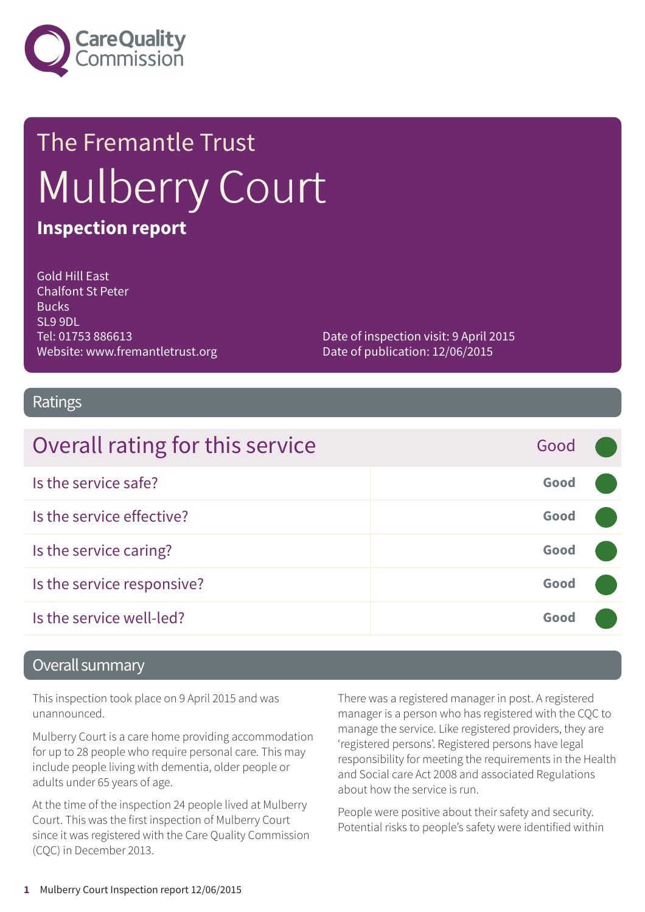

# The Fremantle Trust Mulberry Court **Inspection report**

Gold Hill East Chalfont St Peter **Bucks** SL9 9DL Tel: 01753 886613 Website: www.fremantletrust.org

Date of inspection visit: 9 April 2015 Date of publication: 12/06/2015

#### Ratings

| Overall rating for this service | Good |  |
|---------------------------------|------|--|
| Is the service safe?            | Good |  |
| Is the service effective?       | Good |  |
| Is the service caring?          | Good |  |
| Is the service responsive?      | Good |  |
| Is the service well-led?        | Good |  |

#### Overall summary

This inspection took place on 9 April 2015 and was unannounced.

Mulberry Court is a care home providing accommodation for up to 28 people who require personal care. This may include people living with dementia, older people or adults under 65 years of age.

At the time of the inspection 24 people lived at Mulberry Court. This was the first inspection of Mulberry Court since it was registered with the Care Quality Commission (CQC) in December 2013.

There was a registered manager in post. A registered manager is a person who has registered with the CQC to manage the service. Like registered providers, they are 'registered persons'. Registered persons have legal responsibility for meeting the requirements in the Health and Social care Act 2008 and associated Regulations about how the service is run.

People were positive about their safety and security. Potential risks to people's safety were identified within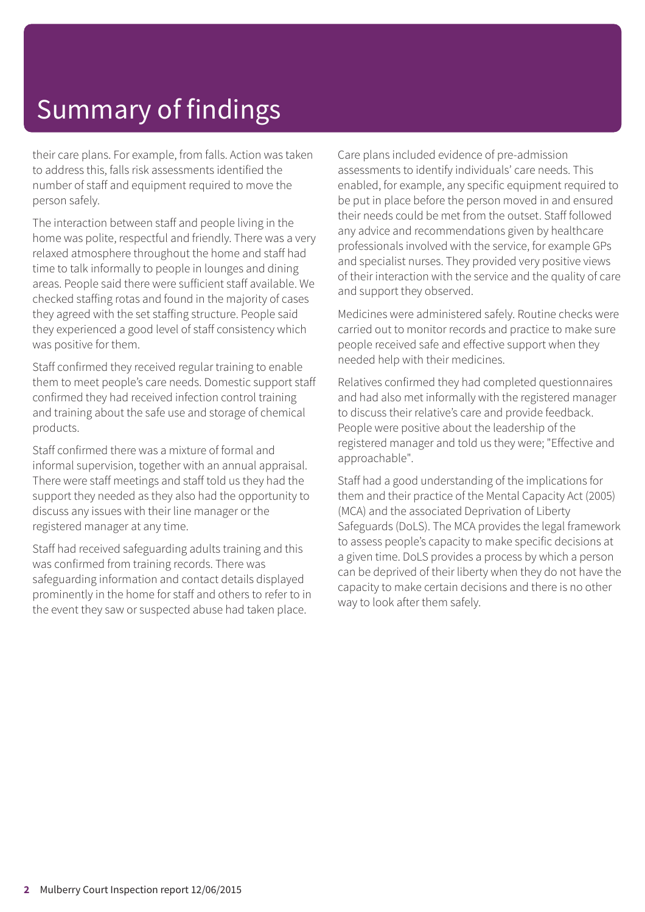# Summary of findings

their care plans. For example, from falls. Action was taken to address this, falls risk assessments identified the number of staff and equipment required to move the person safely.

The interaction between staff and people living in the home was polite, respectful and friendly. There was a very relaxed atmosphere throughout the home and staff had time to talk informally to people in lounges and dining areas. People said there were sufficient staff available. We checked staffing rotas and found in the majority of cases they agreed with the set staffing structure. People said they experienced a good level of staff consistency which was positive for them.

Staff confirmed they received regular training to enable them to meet people's care needs. Domestic support staff confirmed they had received infection control training and training about the safe use and storage of chemical products.

Staff confirmed there was a mixture of formal and informal supervision, together with an annual appraisal. There were staff meetings and staff told us they had the support they needed as they also had the opportunity to discuss any issues with their line manager or the registered manager at any time.

Staff had received safeguarding adults training and this was confirmed from training records. There was safeguarding information and contact details displayed prominently in the home for staff and others to refer to in the event they saw or suspected abuse had taken place.

Care plans included evidence of pre-admission assessments to identify individuals' care needs. This enabled, for example, any specific equipment required to be put in place before the person moved in and ensured their needs could be met from the outset. Staff followed any advice and recommendations given by healthcare professionals involved with the service, for example GPs and specialist nurses. They provided very positive views of their interaction with the service and the quality of care and support they observed.

Medicines were administered safely. Routine checks were carried out to monitor records and practice to make sure people received safe and effective support when they needed help with their medicines.

Relatives confirmed they had completed questionnaires and had also met informally with the registered manager to discuss their relative's care and provide feedback. People were positive about the leadership of the registered manager and told us they were; "Effective and approachable".

Staff had a good understanding of the implications for them and their practice of the Mental Capacity Act (2005) (MCA) and the associated Deprivation of Liberty Safeguards (DoLS). The MCA provides the legal framework to assess people's capacity to make specific decisions at a given time. DoLS provides a process by which a person can be deprived of their liberty when they do not have the capacity to make certain decisions and there is no other way to look after them safely.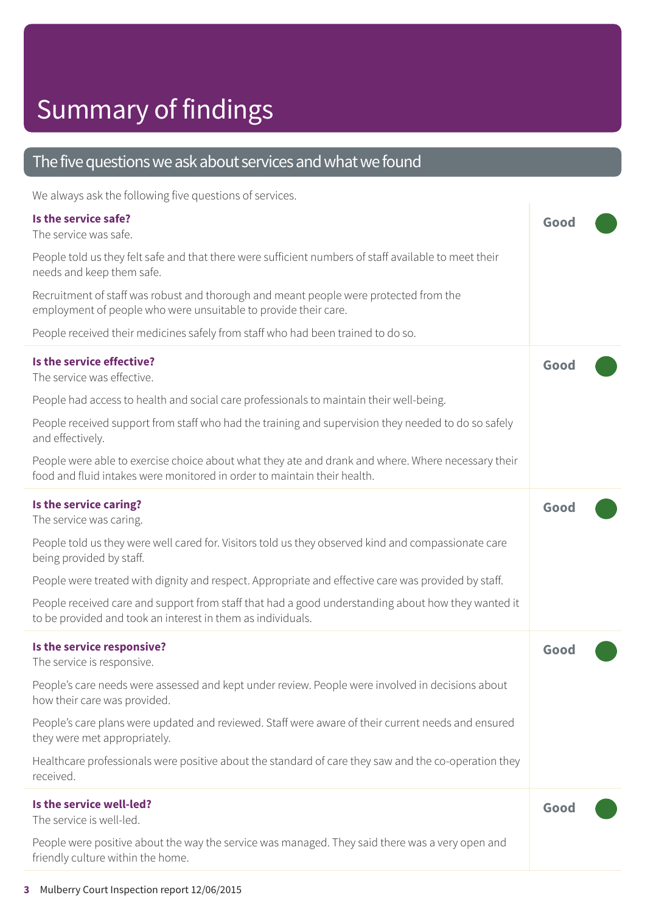# Summary of findings

#### The five questions we ask about services and what we found

We always ask the following five questions of services.

| Is the service safe?<br>The service was safe.                                                                                                                                  | Good |
|--------------------------------------------------------------------------------------------------------------------------------------------------------------------------------|------|
| People told us they felt safe and that there were sufficient numbers of staff available to meet their<br>needs and keep them safe.                                             |      |
| Recruitment of staff was robust and thorough and meant people were protected from the<br>employment of people who were unsuitable to provide their care.                       |      |
| People received their medicines safely from staff who had been trained to do so.                                                                                               |      |
| Is the service effective?<br>The service was effective.                                                                                                                        | Good |
| People had access to health and social care professionals to maintain their well-being.                                                                                        |      |
| People received support from staff who had the training and supervision they needed to do so safely<br>and effectively.                                                        |      |
| People were able to exercise choice about what they ate and drank and where. Where necessary their<br>food and fluid intakes were monitored in order to maintain their health. |      |
| Is the service caring?<br>The service was caring.                                                                                                                              | Good |
| People told us they were well cared for. Visitors told us they observed kind and compassionate care<br>being provided by staff.                                                |      |
| People were treated with dignity and respect. Appropriate and effective care was provided by staff.                                                                            |      |
| People received care and support from staff that had a good understanding about how they wanted it<br>to be provided and took an interest in them as individuals.              |      |
| Is the service responsive?<br>The service is responsive.                                                                                                                       | Good |
| People's care needs were assessed and kept under review. People were involved in decisions about<br>how their care was provided.                                               |      |
| People's care plans were updated and reviewed. Staff were aware of their current needs and ensured<br>they were met appropriately.                                             |      |
| Healthcare professionals were positive about the standard of care they saw and the co-operation they<br>received.                                                              |      |
| Is the service well-led?<br>The service is well-led.                                                                                                                           | Good |
| People were positive about the way the service was managed. They said there was a very open and<br>friendly culture within the home.                                           |      |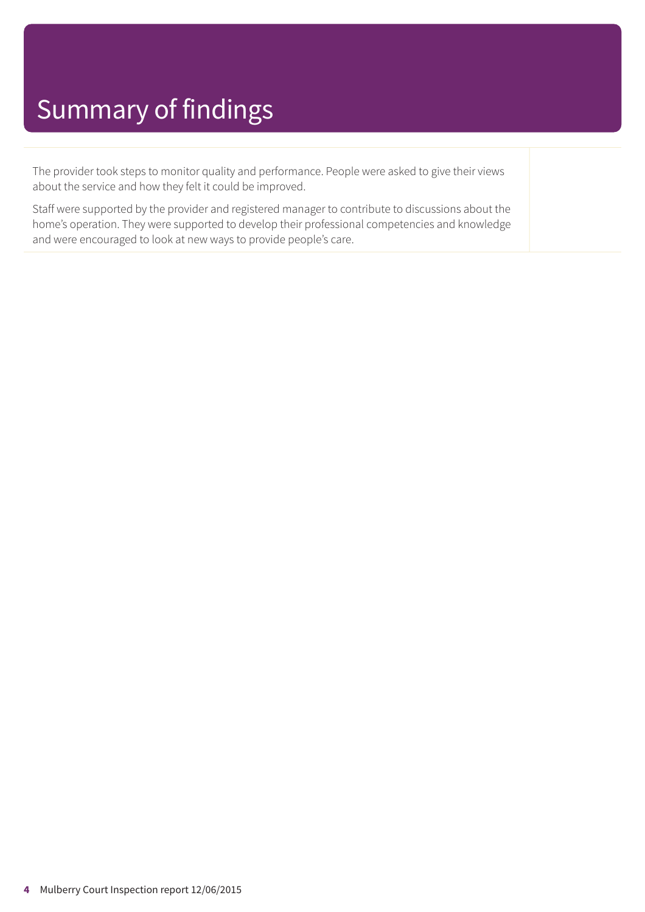# Summary of findings

The provider took steps to monitor quality and performance. People were asked to give their views about the service and how they felt it could be improved.

Staff were supported by the provider and registered manager to contribute to discussions about the home's operation. They were supported to develop their professional competencies and knowledge and were encouraged to look at new ways to provide people's care.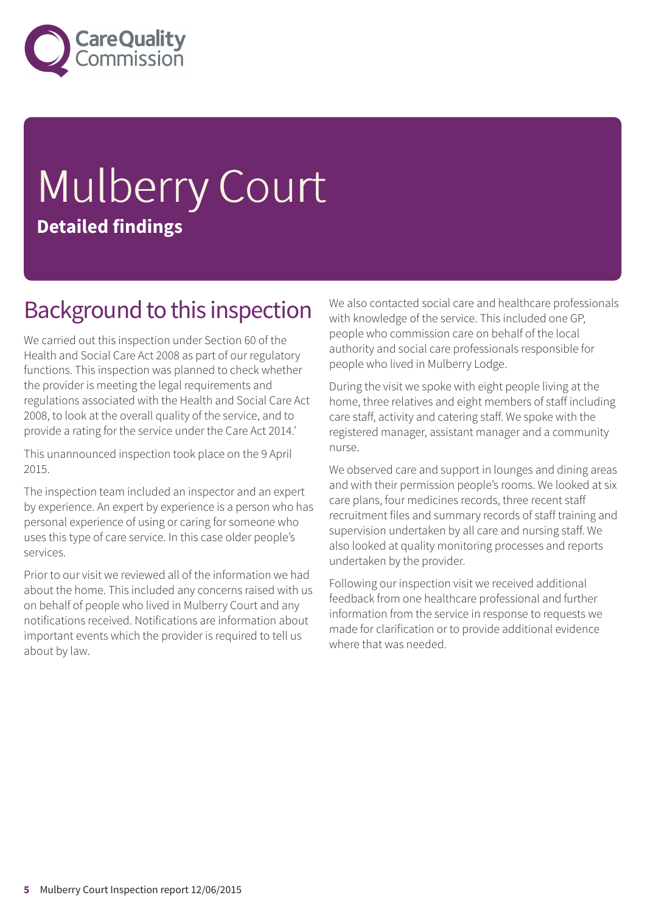

# Mulberry Court **Detailed findings**

#### Background to this inspection

We carried out this inspection under Section 60 of the Health and Social Care Act 2008 as part of our regulatory functions. This inspection was planned to check whether the provider is meeting the legal requirements and regulations associated with the Health and Social Care Act 2008, to look at the overall quality of the service, and to provide a rating for the service under the Care Act 2014.'

This unannounced inspection took place on the 9 April 2015.

The inspection team included an inspector and an expert by experience. An expert by experience is a person who has personal experience of using or caring for someone who uses this type of care service. In this case older people's services.

Prior to our visit we reviewed all of the information we had about the home. This included any concerns raised with us on behalf of people who lived in Mulberry Court and any notifications received. Notifications are information about important events which the provider is required to tell us about by law.

We also contacted social care and healthcare professionals with knowledge of the service. This included one GP, people who commission care on behalf of the local authority and social care professionals responsible for people who lived in Mulberry Lodge.

During the visit we spoke with eight people living at the home, three relatives and eight members of staff including care staff, activity and catering staff. We spoke with the registered manager, assistant manager and a community nurse.

We observed care and support in lounges and dining areas and with their permission people's rooms. We looked at six care plans, four medicines records, three recent staff recruitment files and summary records of staff training and supervision undertaken by all care and nursing staff. We also looked at quality monitoring processes and reports undertaken by the provider.

Following our inspection visit we received additional feedback from one healthcare professional and further information from the service in response to requests we made for clarification or to provide additional evidence where that was needed.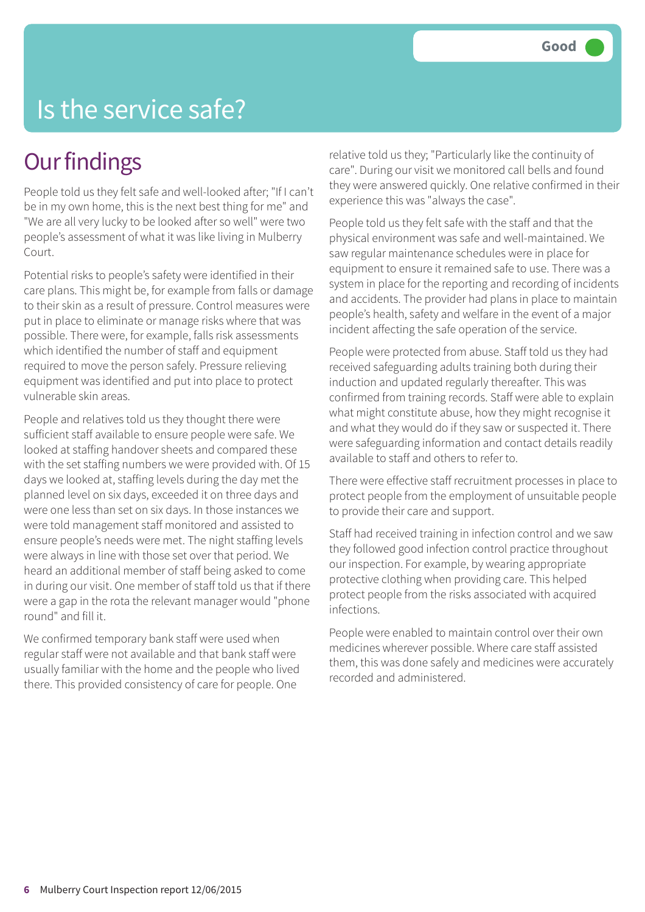### Is the service safe?

#### **Our findings**

People told us they felt safe and well-looked after; "If I can't be in my own home, this is the next best thing for me" and "We are all very lucky to be looked after so well" were two people's assessment of what it was like living in Mulberry Court.

Potential risks to people's safety were identified in their care plans. This might be, for example from falls or damage to their skin as a result of pressure. Control measures were put in place to eliminate or manage risks where that was possible. There were, for example, falls risk assessments which identified the number of staff and equipment required to move the person safely. Pressure relieving equipment was identified and put into place to protect vulnerable skin areas.

People and relatives told us they thought there were sufficient staff available to ensure people were safe. We looked at staffing handover sheets and compared these with the set staffing numbers we were provided with. Of 15 days we looked at, staffing levels during the day met the planned level on six days, exceeded it on three days and were one less than set on six days. In those instances we were told management staff monitored and assisted to ensure people's needs were met. The night staffing levels were always in line with those set over that period. We heard an additional member of staff being asked to come in during our visit. One member of staff told us that if there were a gap in the rota the relevant manager would "phone round" and fill it.

We confirmed temporary bank staff were used when regular staff were not available and that bank staff were usually familiar with the home and the people who lived there. This provided consistency of care for people. One

relative told us they; "Particularly like the continuity of care". During our visit we monitored call bells and found they were answered quickly. One relative confirmed in their experience this was "always the case".

People told us they felt safe with the staff and that the physical environment was safe and well-maintained. We saw regular maintenance schedules were in place for equipment to ensure it remained safe to use. There was a system in place for the reporting and recording of incidents and accidents. The provider had plans in place to maintain people's health, safety and welfare in the event of a major incident affecting the safe operation of the service.

People were protected from abuse. Staff told us they had received safeguarding adults training both during their induction and updated regularly thereafter. This was confirmed from training records. Staff were able to explain what might constitute abuse, how they might recognise it and what they would do if they saw or suspected it. There were safeguarding information and contact details readily available to staff and others to refer to.

There were effective staff recruitment processes in place to protect people from the employment of unsuitable people to provide their care and support.

Staff had received training in infection control and we saw they followed good infection control practice throughout our inspection. For example, by wearing appropriate protective clothing when providing care. This helped protect people from the risks associated with acquired infections.

People were enabled to maintain control over their own medicines wherever possible. Where care staff assisted them, this was done safely and medicines were accurately recorded and administered.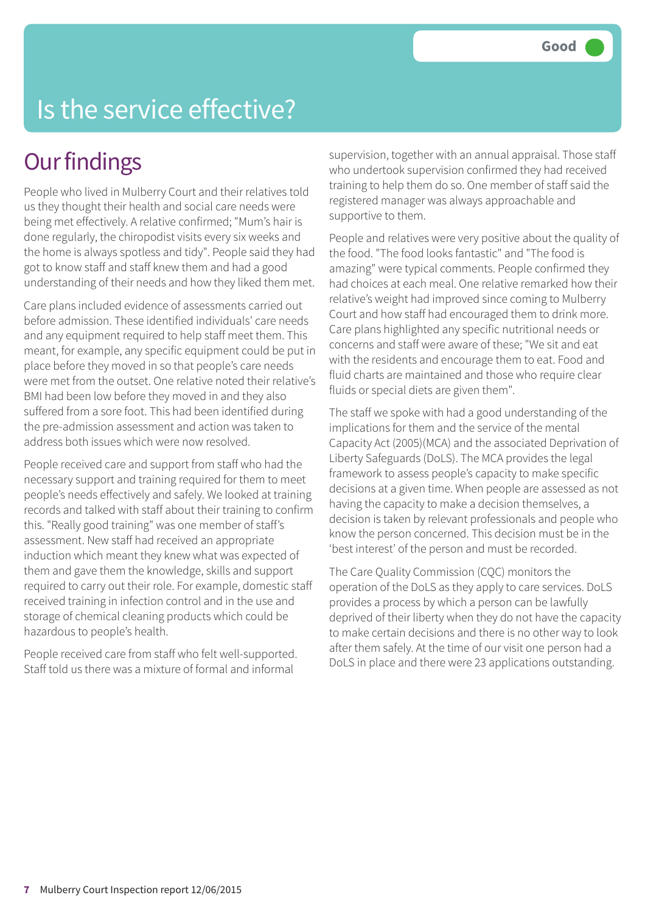# Is the service effective?

### **Our findings**

People who lived in Mulberry Court and their relatives told us they thought their health and social care needs were being met effectively. A relative confirmed; "Mum's hair is done regularly, the chiropodist visits every six weeks and the home is always spotless and tidy". People said they had got to know staff and staff knew them and had a good understanding of their needs and how they liked them met.

Care plans included evidence of assessments carried out before admission. These identified individuals' care needs and any equipment required to help staff meet them. This meant, for example, any specific equipment could be put in place before they moved in so that people's care needs were met from the outset. One relative noted their relative's BMI had been low before they moved in and they also suffered from a sore foot. This had been identified during the pre-admission assessment and action was taken to address both issues which were now resolved.

People received care and support from staff who had the necessary support and training required for them to meet people's needs effectively and safely. We looked at training records and talked with staff about their training to confirm this. "Really good training" was one member of staff's assessment. New staff had received an appropriate induction which meant they knew what was expected of them and gave them the knowledge, skills and support required to carry out their role. For example, domestic staff received training in infection control and in the use and storage of chemical cleaning products which could be hazardous to people's health.

People received care from staff who felt well-supported. Staff told us there was a mixture of formal and informal

supervision, together with an annual appraisal. Those staff who undertook supervision confirmed they had received training to help them do so. One member of staff said the registered manager was always approachable and supportive to them.

People and relatives were very positive about the quality of the food. "The food looks fantastic" and "The food is amazing" were typical comments. People confirmed they had choices at each meal. One relative remarked how their relative's weight had improved since coming to Mulberry Court and how staff had encouraged them to drink more. Care plans highlighted any specific nutritional needs or concerns and staff were aware of these; "We sit and eat with the residents and encourage them to eat. Food and fluid charts are maintained and those who require clear fluids or special diets are given them".

The staff we spoke with had a good understanding of the implications for them and the service of the mental Capacity Act (2005)(MCA) and the associated Deprivation of Liberty Safeguards (DoLS). The MCA provides the legal framework to assess people's capacity to make specific decisions at a given time. When people are assessed as not having the capacity to make a decision themselves, a decision is taken by relevant professionals and people who know the person concerned. This decision must be in the 'best interest' of the person and must be recorded.

The Care Quality Commission (CQC) monitors the operation of the DoLS as they apply to care services. DoLS provides a process by which a person can be lawfully deprived of their liberty when they do not have the capacity to make certain decisions and there is no other way to look after them safely. At the time of our visit one person had a DoLS in place and there were 23 applications outstanding.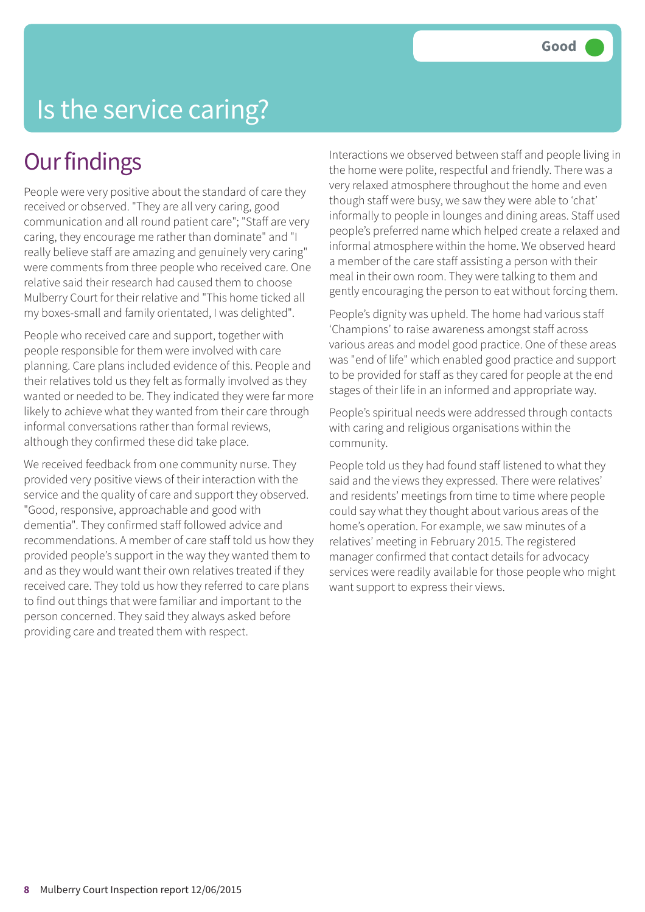# Is the service caring?

#### **Our findings**

People were very positive about the standard of care they received or observed. "They are all very caring, good communication and all round patient care"; "Staff are very caring, they encourage me rather than dominate" and "I really believe staff are amazing and genuinely very caring" were comments from three people who received care. One relative said their research had caused them to choose Mulberry Court for their relative and "This home ticked all my boxes-small and family orientated, I was delighted".

People who received care and support, together with people responsible for them were involved with care planning. Care plans included evidence of this. People and their relatives told us they felt as formally involved as they wanted or needed to be. They indicated they were far more likely to achieve what they wanted from their care through informal conversations rather than formal reviews, although they confirmed these did take place.

We received feedback from one community nurse. They provided very positive views of their interaction with the service and the quality of care and support they observed. "Good, responsive, approachable and good with dementia". They confirmed staff followed advice and recommendations. A member of care staff told us how they provided people's support in the way they wanted them to and as they would want their own relatives treated if they received care. They told us how they referred to care plans to find out things that were familiar and important to the person concerned. They said they always asked before providing care and treated them with respect.

Interactions we observed between staff and people living in the home were polite, respectful and friendly. There was a very relaxed atmosphere throughout the home and even though staff were busy, we saw they were able to 'chat' informally to people in lounges and dining areas. Staff used people's preferred name which helped create a relaxed and informal atmosphere within the home. We observed heard a member of the care staff assisting a person with their meal in their own room. They were talking to them and gently encouraging the person to eat without forcing them.

People's dignity was upheld. The home had various staff 'Champions' to raise awareness amongst staff across various areas and model good practice. One of these areas was "end of life" which enabled good practice and support to be provided for staff as they cared for people at the end stages of their life in an informed and appropriate way.

People's spiritual needs were addressed through contacts with caring and religious organisations within the community.

People told us they had found staff listened to what they said and the views they expressed. There were relatives' and residents' meetings from time to time where people could say what they thought about various areas of the home's operation. For example, we saw minutes of a relatives' meeting in February 2015. The registered manager confirmed that contact details for advocacy services were readily available for those people who might want support to express their views.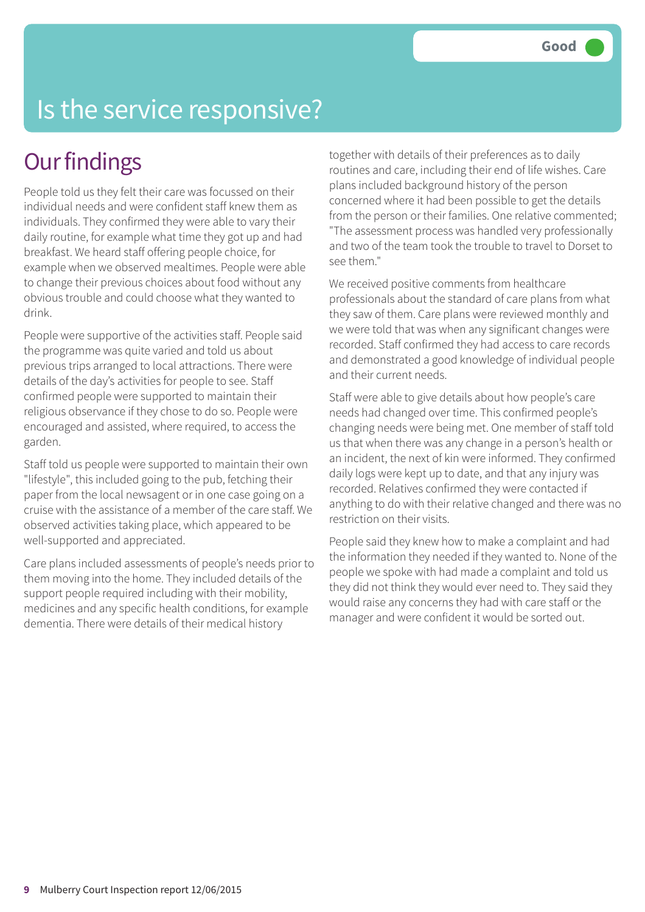# Is the service responsive?

### **Our findings**

People told us they felt their care was focussed on their individual needs and were confident staff knew them as individuals. They confirmed they were able to vary their daily routine, for example what time they got up and had breakfast. We heard staff offering people choice, for example when we observed mealtimes. People were able to change their previous choices about food without any obvious trouble and could choose what they wanted to drink.

People were supportive of the activities staff. People said the programme was quite varied and told us about previous trips arranged to local attractions. There were details of the day's activities for people to see. Staff confirmed people were supported to maintain their religious observance if they chose to do so. People were encouraged and assisted, where required, to access the garden.

Staff told us people were supported to maintain their own "lifestyle", this included going to the pub, fetching their paper from the local newsagent or in one case going on a cruise with the assistance of a member of the care staff. We observed activities taking place, which appeared to be well-supported and appreciated.

Care plans included assessments of people's needs prior to them moving into the home. They included details of the support people required including with their mobility, medicines and any specific health conditions, for example dementia. There were details of their medical history

together with details of their preferences as to daily routines and care, including their end of life wishes. Care plans included background history of the person concerned where it had been possible to get the details from the person or their families. One relative commented; "The assessment process was handled very professionally and two of the team took the trouble to travel to Dorset to see them."

We received positive comments from healthcare professionals about the standard of care plans from what they saw of them. Care plans were reviewed monthly and we were told that was when any significant changes were recorded. Staff confirmed they had access to care records and demonstrated a good knowledge of individual people and their current needs.

Staff were able to give details about how people's care needs had changed over time. This confirmed people's changing needs were being met. One member of staff told us that when there was any change in a person's health or an incident, the next of kin were informed. They confirmed daily logs were kept up to date, and that any injury was recorded. Relatives confirmed they were contacted if anything to do with their relative changed and there was no restriction on their visits.

People said they knew how to make a complaint and had the information they needed if they wanted to. None of the people we spoke with had made a complaint and told us they did not think they would ever need to. They said they would raise any concerns they had with care staff or the manager and were confident it would be sorted out.